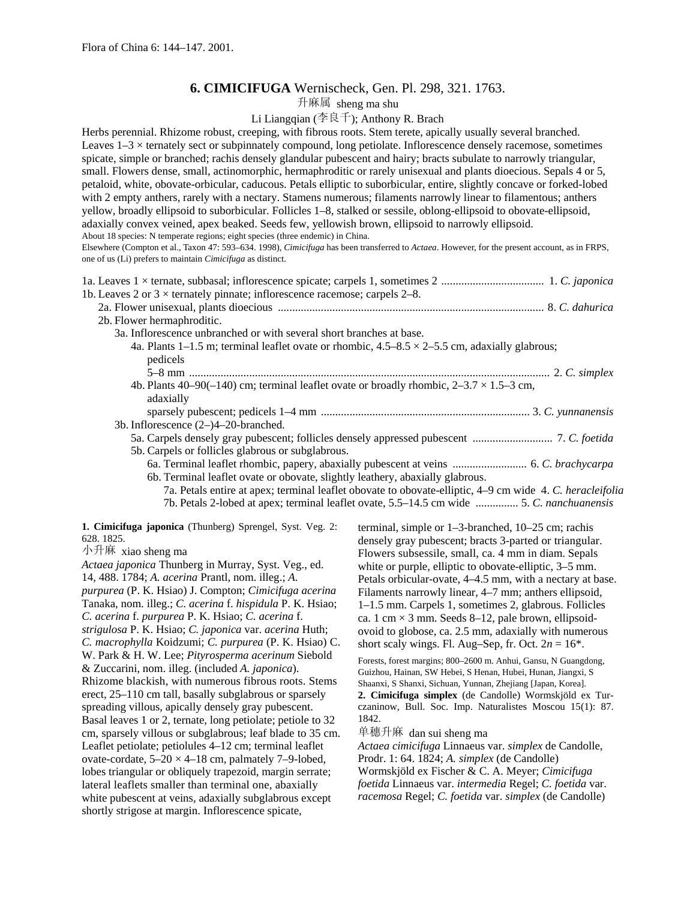# **6. CIMICIFUGA** Wernischeck, Gen. Pl. 298, 321. 1763.

升麻属 sheng ma shu

# Li Liangqian (李良千); Anthony R. Brach

Herbs perennial. Rhizome robust, creeping, with fibrous roots. Stem terete, apically usually several branched. Leaves 1–3 × ternately sect or subpinnately compound, long petiolate. Inflorescence densely racemose, sometimes spicate, simple or branched; rachis densely glandular pubescent and hairy; bracts subulate to narrowly triangular, small. Flowers dense, small, actinomorphic, hermaphroditic or rarely unisexual and plants dioecious. Sepals 4 or 5, petaloid, white, obovate-orbicular, caducous. Petals elliptic to suborbicular, entire, slightly concave or forked-lobed with 2 empty anthers, rarely with a nectary. Stamens numerous; filaments narrowly linear to filamentous; anthers yellow, broadly ellipsoid to suborbicular. Follicles 1–8, stalked or sessile, oblong-ellipsoid to obovate-ellipsoid, adaxially convex veined, apex beaked. Seeds few, yellowish brown, ellipsoid to narrowly ellipsoid. About 18 species: N temperate regions; eight species (three endemic) in China. Elsewhere (Compton et al., Taxon 47: 593–634. 1998), *Cimicifuga* has been transferred to *Actaea*. However, for the present account, as in FRPS, one of us (Li) prefers to maintain *Cimicifuga* as distinct. 1a. Leaves 1 × ternate, subbasal; inflorescence spicate; carpels 1, sometimes 2 .................................... 1. *C. japonica* 1b. Leaves 2 or  $3 \times$  ternately pinnate; inflorescence racemose; carpels 2–8. 2a. Flower unisexual, plants dioecious ............................................................................................. 8. *C. dahurica* 2b. Flower hermaphroditic. 3a. Inflorescence unbranched or with several short branches at base. 4a. Plants 1–1.5 m; terminal leaflet ovate or rhombic,  $4.5-8.5 \times 2-5.5$  cm, adaxially glabrous; pedicels

5–8 mm .............................................................................................................................. 2. *C. simplex* 4b. Plants 40–90(–140) cm; terminal leaflet ovate or broadly rhombic,  $2-3.7 \times 1.5-3$  cm, adaxially

sparsely pubescent; pedicels 1–4 mm ......................................................................... 3. *C. yunnanensis* 3b. Inflorescence (2–)4–20-branched. 5a. Carpels densely gray pubescent; follicles densely appressed pubescent ............................ 7. *C. foetida* 5b. Carpels or follicles glabrous or subglabrous.

- 6a. Terminal leaflet rhombic, papery, abaxially pubescent at veins .......................... 6. *C. brachycarpa* 6b. Terminal leaflet ovate or obovate, slightly leathery, abaxially glabrous.
	- 7a. Petals entire at apex; terminal leaflet obovate to obovate-elliptic, 4–9 cm wide 4. *C. heracleifolia* 7b. Petals 2-lobed at apex; terminal leaflet ovate, 5.5–14.5 cm wide ............... 5. *C. nanchuanensis*

**1. Cimicifuga japonica** (Thunberg) Sprengel, Syst. Veg. 2: 628. 1825.

小升麻 xiao sheng ma

*Actaea japonica* Thunberg in Murray, Syst. Veg., ed. 14, 488. 1784; *A. acerina* Prantl, nom. illeg.; *A. purpurea* (P. K. Hsiao) J. Compton; *Cimicifuga acerina* Tanaka, nom. illeg.; *C. acerina* f. *hispidula* P. K. Hsiao; *C. acerina* f. *purpurea* P. K. Hsiao; *C. acerina* f. *strigulosa* P. K. Hsiao; *C. japonica* var. *acerina* Huth; *C. macrophylla* Koidzumi; *C. purpurea* (P. K. Hsiao) C. W. Park & H. W. Lee; *Pityrosperma acerinum* Siebold & Zuccarini, nom. illeg. (included *A. japonica*). Rhizome blackish, with numerous fibrous roots. Stems erect, 25–110 cm tall, basally subglabrous or sparsely spreading villous, apically densely gray pubescent. Basal leaves 1 or 2, ternate, long petiolate; petiole to 32 cm, sparsely villous or subglabrous; leaf blade to 35 cm. Leaflet petiolate; petiolules 4–12 cm; terminal leaflet ovate-cordate,  $5-20 \times 4-18$  cm, palmately 7-9-lobed, lobes triangular or obliquely trapezoid, margin serrate; lateral leaflets smaller than terminal one, abaxially white pubescent at veins, adaxially subglabrous except shortly strigose at margin. Inflorescence spicate,

terminal, simple or 1–3-branched, 10–25 cm; rachis densely gray pubescent; bracts 3-parted or triangular. Flowers subsessile, small, ca. 4 mm in diam. Sepals white or purple, elliptic to obovate-elliptic,  $3-5$  mm. Petals orbicular-ovate, 4–4.5 mm, with a nectary at base. Filaments narrowly linear, 4–7 mm; anthers ellipsoid, 1–1.5 mm. Carpels 1, sometimes 2, glabrous. Follicles ca. 1 cm  $\times$  3 mm. Seeds 8–12, pale brown, ellipsoidovoid to globose, ca. 2.5 mm, adaxially with numerous short scaly wings. Fl. Aug–Sep, fr. Oct.  $2n = 16^*$ .

Forests, forest margins; 800–2600 m. Anhui, Gansu, N Guangdong, Guizhou, Hainan, SW Hebei, S Henan, Hubei, Hunan, Jiangxi, S Shaanxi, S Shanxi, Sichuan, Yunnan, Zhejiang [Japan, Korea]. **2. Cimicifuga simplex** (de Candolle) Wormskjöld ex Turczaninow, Bull. Soc. Imp. Naturalistes Moscou 15(1): 87. 1842.

单穗升麻 dan sui sheng ma

*Actaea cimicifuga* Linnaeus var. *simplex* de Candolle, Prodr. 1: 64. 1824; *A. simplex* (de Candolle)

Wormskjöld ex Fischer & C. A. Meyer; *Cimicifuga* 

*foetida* Linnaeus var. *intermedia* Regel; *C. foetida* var. *racemosa* Regel; *C. foetida* var. *simplex* (de Candolle)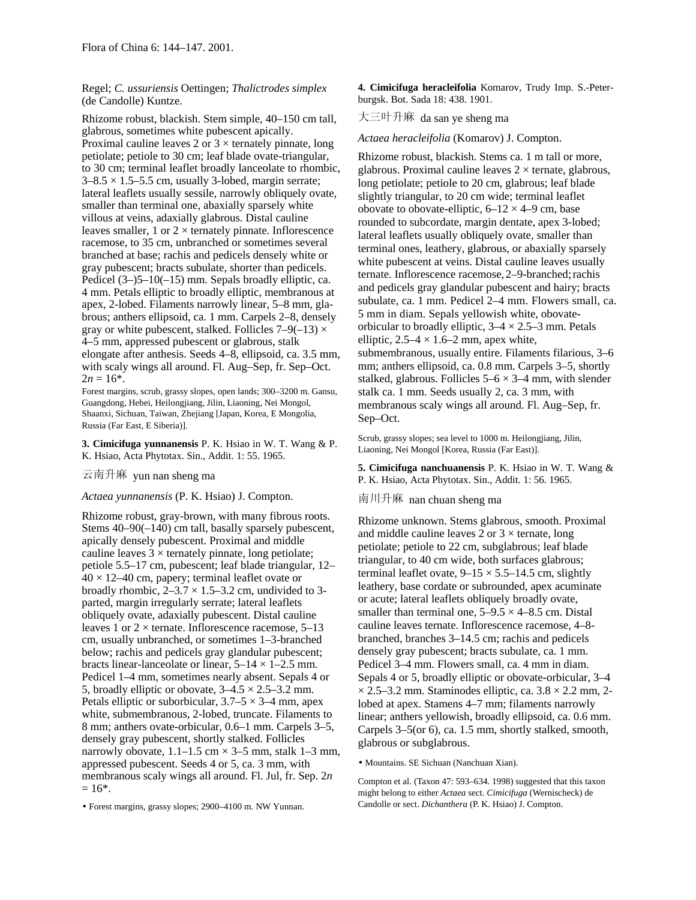Regel; *C. ussuriensis* Oettingen; *Thalictrodes simplex* (de Candolle) Kuntze.

Rhizome robust, blackish. Stem simple, 40–150 cm tall,  $\qquad \pm \equiv \pm \pm \pm \pi$  da san ye sheng ma glabrous, sometimes white pubescent apically. Proximal cauline leaves 2 or  $3 \times$  ternately pinnate, long petiolate; petiole to 30 cm; leaf blade ovate-triangular, to 30 cm; terminal leaflet broadly lanceolate to rhombic,  $3-8.5 \times 1.5-5.5$  cm, usually 3-lobed, margin serrate; lateral leaflets usually sessile, narrowly obliquely ovate, smaller than terminal one, abaxially sparsely white villous at veins, adaxially glabrous. Distal cauline leaves smaller, 1 or  $2 \times$  ternately pinnate. Inflorescence racemose, to 35 cm, unbranched or sometimes several branched at base; rachis and pedicels densely white or gray pubescent; bracts subulate, shorter than pedicels. Pedicel (3–)5–10(–15) mm. Sepals broadly elliptic, ca. 4 mm. Petals elliptic to broadly elliptic, membranous at apex, 2-lobed. Filaments narrowly linear, 5–8 mm, glabrous; anthers ellipsoid, ca. 1 mm. Carpels 2–8, densely gray or white pubescent, stalked. Follicles  $7-9(-13) \times$ 4–5 mm, appressed pubescent or glabrous, stalk elongate after anthesis. Seeds 4–8, ellipsoid, ca. 3.5 mm, with scaly wings all around. Fl. Aug–Sep, fr. Sep–Oct.  $2n = 16^*$ .

Forest margins, scrub, grassy slopes, open lands; 300–3200 m. Gansu, Guangdong, Hebei, Heilongjiang, Jilin, Liaoning, Nei Mongol, Shaanxi, Sichuan, Taiwan, Zhejiang [Japan, Korea, E Mongolia, Russia (Far East, E Siberia)].

Liaoning, Nei Mongol [Korea, Russia (Far East)]. **3. Cimicifuga yunnanensis** P. K. Hsiao in W. T. Wang & P. K. Hsiao, Acta Phytotax. Sin., Addit. 1: 55. 1965.

*Actaea yunnanensis* (P. K. Hsiao) J. Compton. 南川升麻 nan chuan sheng ma

Rhizome robust, gray-brown, with many fibrous roots. Stems 40–90(–140) cm tall, basally sparsely pubescent, apically densely pubescent. Proximal and middle cauline leaves  $3 \times$  ternately pinnate, long petiolate; petiole 5.5–17 cm, pubescent; leaf blade triangular, 12–  $40 \times 12 - 40$  cm, papery; terminal leaflet ovate or broadly rhombic,  $2-3.7 \times 1.5-3.2$  cm, undivided to 3parted, margin irregularly serrate; lateral leaflets obliquely ovate, adaxially pubescent. Distal cauline leaves 1 or  $2 \times$  ternate. Inflorescence racemose, 5–13 cm, usually unbranched, or sometimes 1–3-branched below; rachis and pedicels gray glandular pubescent; bracts linear-lanceolate or linear,  $5-14 \times 1-2.5$  mm. Pedicel 1–4 mm, sometimes nearly absent. Sepals 4 or 5, broadly elliptic or obovate,  $3-4.5 \times 2.5-3.2$  mm. Petals elliptic or suborbicular,  $3.7-5 \times 3-4$  mm, apex white, submembranous, 2-lobed, truncate. Filaments to 8 mm; anthers ovate-orbicular, 0.6–1 mm. Carpels 3–5, densely gray pubescent, shortly stalked. Follicles narrowly obovate,  $1.1-1.5$  cm  $\times$  3-5 mm, stalk 1-3 mm, appressed pubescent. Seeds 4 or 5, ca. 3 mm, with membranous scaly wings all around. Fl. Jul, fr. Sep. 2*n*  $= 16*$ .

Candolle or sect. *Dichanthera* (P. K. Hsiao) J. Compton. • Forest margins, grassy slopes; 2900–4100 m. NW Yunnan.

**4. Cimicifuga heracleifolia** Komarov, Trudy Imp. S.-Peterburgsk. Bot. Sada 18: 438. 1901.

## *Actaea heracleifolia* (Komarov) J. Compton.

Rhizome robust, blackish. Stems ca. 1 m tall or more, glabrous. Proximal cauline leaves  $2 \times$  ternate, glabrous, long petiolate; petiole to 20 cm, glabrous; leaf blade slightly triangular, to 20 cm wide; terminal leaflet obovate to obovate-elliptic,  $6-12 \times 4-9$  cm, base rounded to subcordate, margin dentate, apex 3-lobed; lateral leaflets usually obliquely ovate, smaller than terminal ones, leathery, glabrous, or abaxially sparsely white pubescent at veins. Distal cauline leaves usually ternate. Inflorescence racemose, 2-9-branched; rachis and pedicels gray glandular pubescent and hairy; bracts subulate, ca. 1 mm. Pedicel 2–4 mm. Flowers small, ca. 5 mm in diam. Sepals yellowish white, obovateorbicular to broadly elliptic,  $3-4 \times 2.5-3$  mm. Petals elliptic,  $2.5-4 \times 1.6-2$  mm, apex white, submembranous, usually entire. Filaments filarious, 3–6 mm; anthers ellipsoid, ca. 0.8 mm. Carpels 3–5, shortly stalked, glabrous. Follicles  $5-6 \times 3-4$  mm, with slender stalk ca. 1 mm. Seeds usually 2, ca. 3 mm, with membranous scaly wings all around. Fl. Aug–Sep, fr. Sep–Oct.

Scrub, grassy slopes; sea level to 1000 m. Heilongjiang, Jilin,

**5. Cimicifuga nanchuanensis** P. K. Hsiao in W. T. Wang & 云南升麻 P. K. Hsiao, Acta Phytotax. Sin., Addit. 1: 56. 1965. yun nan sheng ma

Rhizome unknown. Stems glabrous, smooth. Proximal and middle cauline leaves 2 or  $3 \times$  ternate, long petiolate; petiole to 22 cm, subglabrous; leaf blade triangular, to 40 cm wide, both surfaces glabrous; terminal leaflet ovate,  $9-15 \times 5.5-14.5$  cm, slightly leathery, base cordate or subrounded, apex acuminate or acute; lateral leaflets obliquely broadly ovate, smaller than terminal one,  $5-9.5 \times 4-8.5$  cm. Distal cauline leaves ternate. Inflorescence racemose, 4–8 branched, branches 3–14.5 cm; rachis and pedicels densely gray pubescent; bracts subulate, ca. 1 mm. Pedicel 3–4 mm. Flowers small, ca. 4 mm in diam. Sepals 4 or 5, broadly elliptic or obovate-orbicular, 3–4  $\times$  2.5–3.2 mm. Staminodes elliptic, ca. 3.8  $\times$  2.2 mm, 2lobed at apex. Stamens 4–7 mm; filaments narrowly linear; anthers yellowish, broadly ellipsoid, ca. 0.6 mm. Carpels 3–5(or 6), ca. 1.5 mm, shortly stalked, smooth, glabrous or subglabrous.

• Mountains. SE Sichuan (Nanchuan Xian).

Compton et al. (Taxon 47: 593–634. 1998) suggested that this taxon might belong to either *Actaea* sect. *Cimicifuga* (Wernischeck) de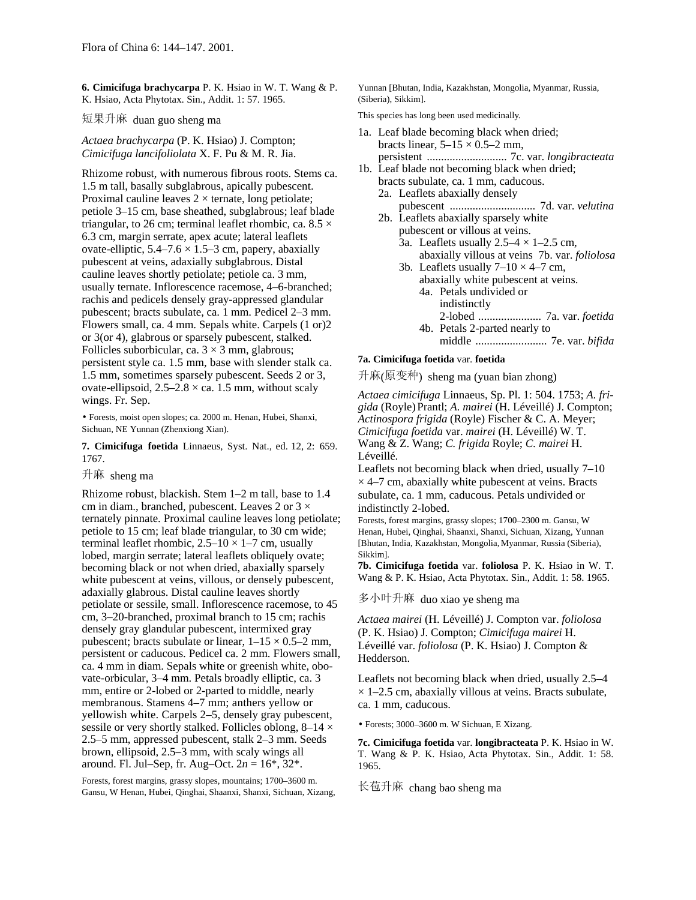**6. Cimicifuga brachycarpa** P. K. Hsiao in W. T. Wang & P. K. Hsiao, Acta Phytotax. Sin., Addit. 1: 57. 1965.

短果升麻 duan guo sheng ma

*Actaea brachycarpa* (P. K. Hsiao) J. Compton; *Cimicifuga lancifoliolata* X. F. Pu & M. R. Jia.

Rhizome robust, with numerous fibrous roots. Stems ca. 1.5 m tall, basally subglabrous, apically pubescent. Proximal cauline leaves  $2 \times$  ternate, long petiolate; petiole 3–15 cm, base sheathed, subglabrous; leaf blade triangular, to 26 cm; terminal leaflet rhombic, ca.  $8.5 \times$ 6.3 cm, margin serrate, apex acute; lateral leaflets ovate-elliptic,  $5.4-7.6 \times 1.5-3$  cm, papery, abaxially pubescent at veins, adaxially subglabrous. Distal cauline leaves shortly petiolate; petiole ca. 3 mm, usually ternate. Inflorescence racemose, 4–6-branched; rachis and pedicels densely gray-appressed glandular pubescent; bracts subulate, ca. 1 mm. Pedicel 2–3 mm. Flowers small, ca. 4 mm. Sepals white. Carpels (1 or)2 or 3(or 4), glabrous or sparsely pubescent, stalked. Follicles suborbicular, ca.  $3 \times 3$  mm, glabrous; persistent style ca. 1.5 mm, base with slender stalk ca. 1.5 mm, sometimes sparsely pubescent. Seeds 2 or 3, ovate-ellipsoid,  $2.5-2.8 \times$  ca. 1.5 mm, without scaly wings. Fr. Sep.

• Forests, moist open slopes; ca. 2000 m. Henan, Hubei, Shanxi, Sichuan, NE Yunnan (Zhenxiong Xian).

**7. Cimicifuga foetida** Linnaeus, Syst. Nat., ed. 12, 2: 659. 1767.

## 升麻 sheng ma

Rhizome robust, blackish. Stem 1–2 m tall, base to 1.4 cm in diam., branched, pubescent. Leaves 2 or  $3 \times$ ternately pinnate. Proximal cauline leaves long petiolate; petiole to 15 cm; leaf blade triangular, to 30 cm wide; terminal leaflet rhombic,  $2.5-10 \times 1-7$  cm, usually lobed, margin serrate; lateral leaflets obliquely ovate; becoming black or not when dried, abaxially sparsely white pubescent at veins, villous, or densely pubescent, adaxially glabrous. Distal cauline leaves shortly petiolate or sessile, small. Inflorescence racemose, to 45 cm, 3–20-branched, proximal branch to 15 cm; rachis densely gray glandular pubescent, intermixed gray pubescent; bracts subulate or linear,  $1-15 \times 0.5-2$  mm, persistent or caducous. Pedicel ca. 2 mm. Flowers small, ca. 4 mm in diam. Sepals white or greenish white, obovate-orbicular, 3–4 mm. Petals broadly elliptic, ca. 3 mm, entire or 2-lobed or 2-parted to middle, nearly membranous. Stamens 4–7 mm; anthers yellow or yellowish white. Carpels 2–5, densely gray pubescent, sessile or very shortly stalked. Follicles oblong,  $8-14 \times$ 2.5–5 mm, appressed pubescent, stalk 2–3 mm. Seeds brown, ellipsoid, 2.5–3 mm, with scaly wings all around. Fl. Jul–Sep, fr. Aug–Oct. 2*n* = 16\*, 32\*.

Forests, forest margins, grassy slopes, mountains; 1700–3600 m. Gansu, W Henan, Hubei, Qinghai, Shaanxi, Shanxi, Sichuan, Xizang, Yunnan [Bhutan, India, Kazakhstan, Mongolia, Myanmar, Russia, (Siberia), Sikkim].

This species has long been used medicinally.

- 1a. Leaf blade becoming black when dried; bracts linear,  $5-15 \times 0.5-2$  mm, persistent ............................ 7c. var. *longibracteata*
- 1b. Leaf blade not becoming black when dried; bracts subulate, ca. 1 mm, caducous.
	- 2a. Leaflets abaxially densely pubescent .............................. 7d. var. *velutina*
	- 2b. Leaflets abaxially sparsely white pubescent or villous at veins.
		- 3a. Leaflets usually  $2.5-4 \times 1-2.5$  cm, abaxially villous at veins 7b. var. *foliolosa*
		- 3b. Leaflets usually  $7-10 \times 4-7$  cm, abaxially white pubescent at veins. 4a. Petals undivided or indistinctly 2-lobed ...................... 7a. var. *foetida*
			- 4b. Petals 2-parted nearly to middle ......................... 7e. var. *bifida*

### **7a. Cimicifuga foetida** var. **foetida**

升麻(原变种) sheng ma (yuan bian zhong)

*Actaea cimicifuga* Linnaeus, Sp. Pl. 1: 504. 1753; *A. frigida* (Royle)Prantl; *A. mairei* (H. Léveillé) J. Compton; *Actinospora frigida* (Royle) Fischer & C. A. Meyer; *Cimicifuga foetida* var. *mairei* (H. Léveillé) W. T. Wang & Z. Wang; *C. frigida* Royle; *C. mairei* H. Léveillé.

Leaflets not becoming black when dried, usually 7–10  $\times$  4–7 cm, abaxially white pubescent at veins. Bracts subulate, ca. 1 mm, caducous. Petals undivided or indistinctly 2-lobed.

Forests, forest margins, grassy slopes; 1700–2300 m. Gansu, W Henan, Hubei, Qinghai, Shaanxi, Shanxi, Sichuan, Xizang, Yunnan [Bhutan, India, Kazakhstan, Mongolia, Myanmar, Russia (Siberia), Sikkim].

**7b. Cimicifuga foetida** var. **foliolosa** P. K. Hsiao in W. T. Wang & P. K. Hsiao, Acta Phytotax. Sin., Addit. 1: 58. 1965.

多小叶升麻 duo xiao ye sheng ma

*Actaea mairei* (H. Léveillé) J. Compton var. *foliolosa* (P. K. Hsiao) J. Compton; *Cimicifuga mairei* H. Léveillé var. *foliolosa* (P. K. Hsiao) J. Compton & Hedderson.

Leaflets not becoming black when dried, usually 2.5–4  $\times$  1–2.5 cm, abaxially villous at veins. Bracts subulate, ca. 1 mm, caducous.

• Forests; 3000–3600 m. W Sichuan, E Xizang.

**7c. Cimicifuga foetida** var. **longibracteata** P. K. Hsiao in W. T. Wang & P. K. Hsiao, Acta Phytotax. Sin., Addit. 1: 58. 1965.

长苞升麻 chang bao sheng ma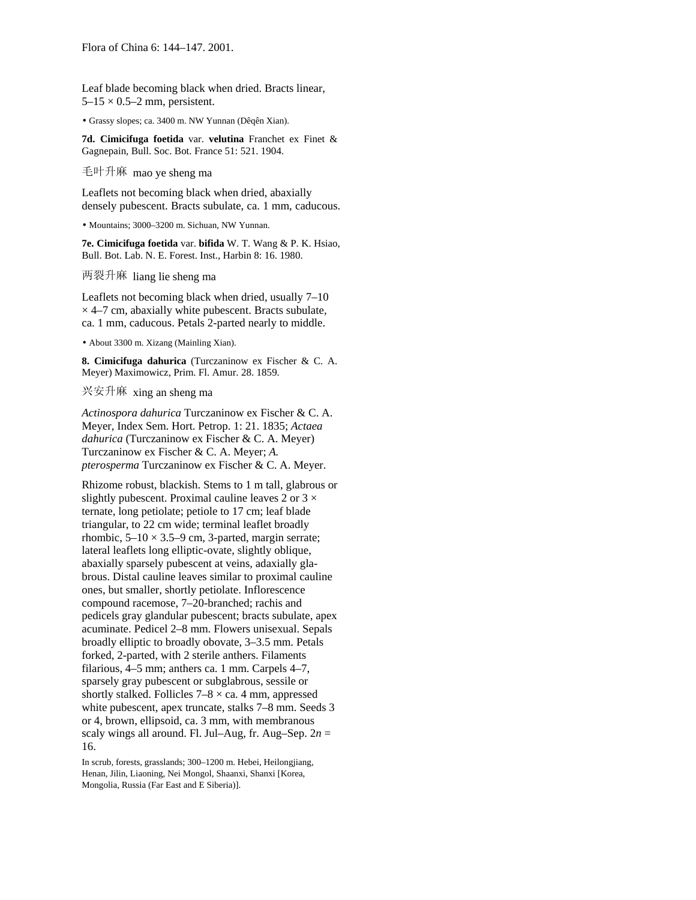Leaf blade becoming black when dried. Bracts linear,  $5-15 \times 0.5-2$  mm, persistent.

• Grassy slopes; ca. 3400 m. NW Yunnan (Dêqên Xian).

**7d. Cimicifuga foetida** var. **velutina** Franchet ex Finet & Gagnepain, Bull. Soc. Bot. France 51: 521. 1904.

毛叶升麻 mao ye sheng ma

Leaflets not becoming black when dried, abaxially densely pubescent. Bracts subulate, ca. 1 mm, caducous.

• Mountains; 3000–3200 m. Sichuan, NW Yunnan.

**7e. Cimicifuga foetida** var. **bifida** W. T. Wang & P. K. Hsiao, Bull. Bot. Lab. N. E. Forest. Inst., Harbin 8: 16. 1980.

两裂升麻 liang lie sheng ma

Leaflets not becoming black when dried, usually 7–10  $\times$  4–7 cm, abaxially white pubescent. Bracts subulate, ca. 1 mm, caducous. Petals 2-parted nearly to middle.

• About 3300 m. Xizang (Mainling Xian).

**8. Cimicifuga dahurica** (Turczaninow ex Fischer & C. A. Meyer) Maximowicz, Prim. Fl. Amur. 28. 1859.

兴安升麻 xing an sheng ma

*Actinospora dahurica* Turczaninow ex Fischer & C. A. Meyer, Index Sem. Hort. Petrop. 1: 21. 1835; *Actaea dahurica* (Turczaninow ex Fischer & C. A. Meyer) Turczaninow ex Fischer & C. A. Meyer; *A. pterosperma* Turczaninow ex Fischer & C. A. Meyer.

Rhizome robust, blackish. Stems to 1 m tall, glabrous or slightly pubescent. Proximal cauline leaves 2 or  $3 \times$ ternate, long petiolate; petiole to 17 cm; leaf blade triangular, to 22 cm wide; terminal leaflet broadly rhombic,  $5-10 \times 3.5-9$  cm, 3-parted, margin serrate; lateral leaflets long elliptic-ovate, slightly oblique, abaxially sparsely pubescent at veins, adaxially glabrous. Distal cauline leaves similar to proximal cauline ones, but smaller, shortly petiolate. Inflorescence compound racemose, 7–20-branched; rachis and pedicels gray glandular pubescent; bracts subulate, apex acuminate. Pedicel 2–8 mm. Flowers unisexual. Sepals broadly elliptic to broadly obovate, 3–3.5 mm. Petals forked, 2-parted, with 2 sterile anthers. Filaments filarious, 4–5 mm; anthers ca. 1 mm. Carpels 4–7, sparsely gray pubescent or subglabrous, sessile or shortly stalked. Follicles  $7-8 \times ca$ . 4 mm, appressed white pubescent, apex truncate, stalks 7–8 mm. Seeds 3 or 4, brown, ellipsoid, ca. 3 mm, with membranous scaly wings all around. Fl. Jul–Aug, fr. Aug–Sep.  $2n =$ 16.

In scrub, forests, grasslands; 300–1200 m. Hebei, Heilongjiang, Henan, Jilin, Liaoning, Nei Mongol, Shaanxi, Shanxi [Korea, Mongolia, Russia (Far East and E Siberia)].